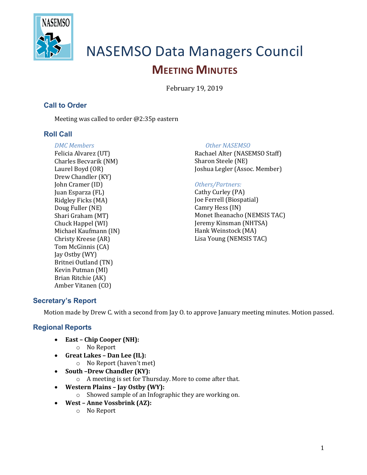

# NASEMSO Data Managers Council **MEETING MINUTES**

February 19, 2019

## **Call to Order**

Meeting was called to order  $@2:35p$  eastern

## **Roll Call**

*DMC Members* Felicia Alvarez (UT) Charles Becvarik (NM) Laurel Boyd (OR) Drew Chandler (KY) John Cramer (ID) Juan Esparza (FL) Ridgley Ficks (MA) Doug Fuller (NE) Shari Graham (MT) Chuck Happel (WI) Michael Kaufmann (IN) Christy Kreese (AR) Tom McGinnis (CA) Jay Ostby (WY) Britnei Outland (TN) Kevin Putman (MI) Brian Ritchie (AK) Amber Vitanen (CO)

#### **Other NASEMSO**

Rachael Alter (NASEMSO Staff) Sharon Steele (NE) Joshua Legler (Assoc. Member)

#### *Others/Partners:*

Cathy Curley (PA) Joe Ferrell (Biospatial) Camry Hess (IN) Monet Iheanacho (NEMSIS TAC) Jeremy Kinsman (NHTSA) Hank Weinstock (MA) Lisa Young (NEMSIS TAC)

## **Secretary's Report**

Motion made by Drew C. with a second from Jay O. to approve January meeting minutes. Motion passed.

## **Regional Reports**

- East Chip Cooper (NH):
	- o No Report
- **Great Lakes – Dan Lee (IL):**
	- $\circ$  No Report (haven't met)
- South -Drew Chandler (KY):
	- $\circ$  A meeting is set for Thursday. More to come after that.
- **Western Plains – Jay Ostby (WY):**
	- o Showed sample of an Infographic they are working on.
- West Anne Vossbrink (AZ):
	- o No Report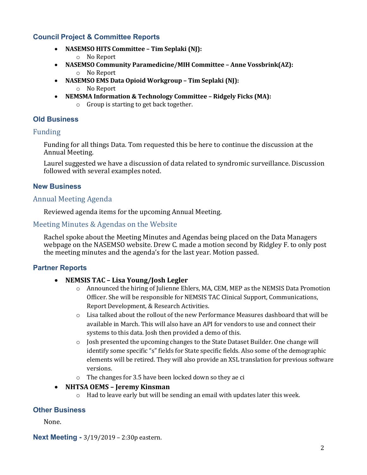## **Council Project & Committee Reports**

- **NASEMSO HITS Committee Tim Seplaki (NJ):** o No Report
- **NASEMSO Community Paramedicine/MIH Committee Anne Vossbrink(AZ):** o No Report
- NASEMSO EMS Data Opioid Workgroup Tim Seplaki (NJ): o No Report
- **NEMSMA Information & Technology Committee Ridgely Ficks (MA):** 
	- $\circ$  Group is starting to get back together.

#### **Old Business**

#### Funding

Funding for all things Data. Tom requested this be here to continue the discussion at the Annual Meeting.

Laurel suggested we have a discussion of data related to syndromic surveillance. Discussion followed with several examples noted.

#### **New Business**

#### Annual Meeting Agenda

Reviewed agenda items for the upcoming Annual Meeting.

#### Meeting Minutes & Agendas on the Website

Rachel spoke about the Meeting Minutes and Agendas being placed on the Data Managers webpage on the NASEMSO website. Drew C. made a motion second by Ridgley F. to only post the meeting minutes and the agenda's for the last year. Motion passed.

#### **Partner Reports**

#### • **NEMSIS TAC – Lisa Young/Josh Legler**

- $\circ$  Announced the hiring of Julienne Ehlers, MA, CEM, MEP as the NEMSIS Data Promotion Officer. She will be responsible for NEMSIS TAC Clinical Support, Communications, Report Development, & Research Activities.
- $\circ$  Lisa talked about the rollout of the new Performance Measures dashboard that will be available in March. This will also have an API for vendors to use and connect their systems to this data. Josh then provided a demo of this.
- $\circ$  Josh presented the upcoming changes to the State Dataset Builder. One change will identify some specific "s" fields for State specific fields. Also some of the demographic elements will be retired. They will also provide an XSL translation for previous software versions.
- $\circ$  The changes for 3.5 have been locked down so they ae ci

#### • **NHTSA OEMS – Jeremy Kinsman**

 $\circ$  Had to leave early but will be sending an email with updates later this week.

#### **Other Business**

None.

**Next Meeting -** 3/19/2019 – 2:30p eastern.